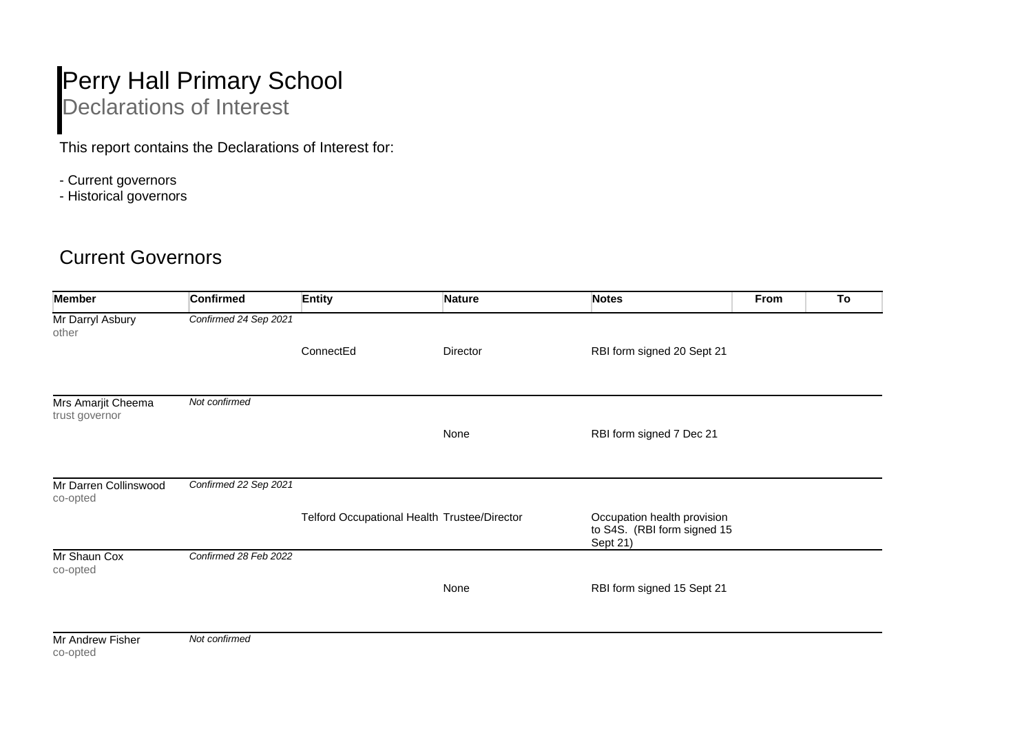## Perry Hall Primary School Declarations of Interest

This report contains the Declarations of Interest for:

- Current governors
- Historical governors

## Current Governors

| <b>Member</b>                        | <b>Confirmed</b>      | <b>Entity</b>                                | <b>Nature</b> | <b>Notes</b>                                                           | From | To |
|--------------------------------------|-----------------------|----------------------------------------------|---------------|------------------------------------------------------------------------|------|----|
| Mr Darryl Asbury<br>other            | Confirmed 24 Sep 2021 |                                              |               |                                                                        |      |    |
|                                      |                       | ConnectEd                                    | Director      | RBI form signed 20 Sept 21                                             |      |    |
| Mrs Amarjit Cheema<br>trust governor | Not confirmed         |                                              |               |                                                                        |      |    |
|                                      |                       |                                              | None          | RBI form signed 7 Dec 21                                               |      |    |
| Mr Darren Collinswood<br>co-opted    | Confirmed 22 Sep 2021 |                                              |               |                                                                        |      |    |
|                                      |                       | Telford Occupational Health Trustee/Director |               | Occupation health provision<br>to S4S. (RBI form signed 15<br>Sept 21) |      |    |
| Mr Shaun Cox<br>co-opted             | Confirmed 28 Feb 2022 |                                              |               |                                                                        |      |    |
|                                      |                       |                                              | None          | RBI form signed 15 Sept 21                                             |      |    |
| Mr Androw Eigher                     | Not confirmed         |                                              |               |                                                                        |      |    |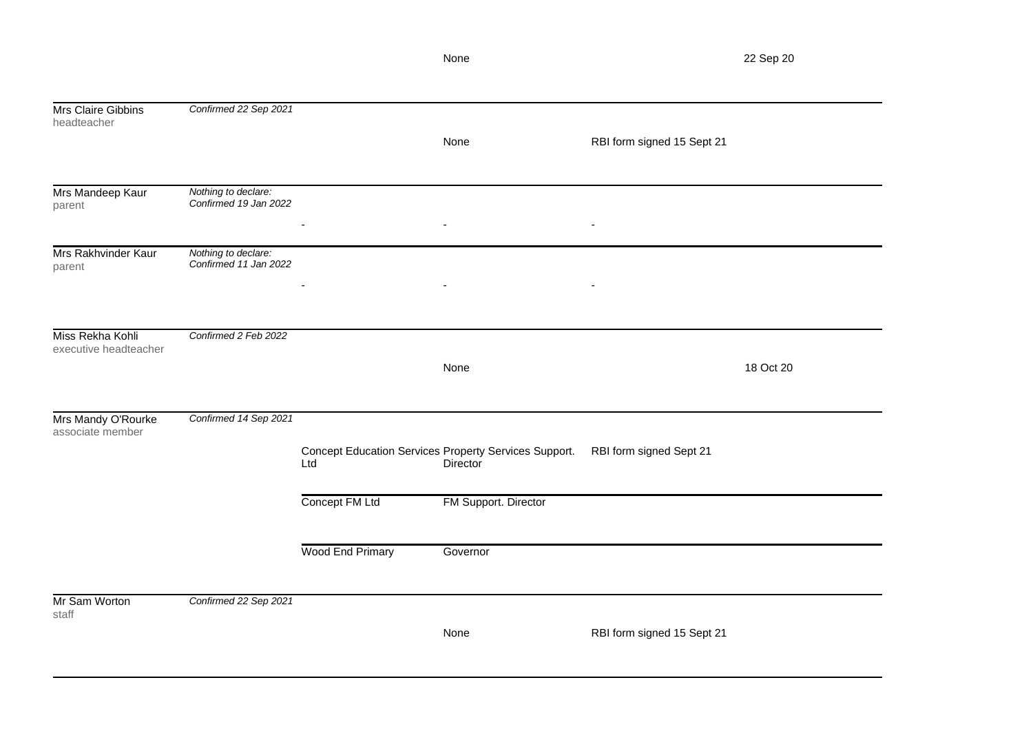Mrs Claire Gibbins headteacher *Confirmed 22 Sep 2021* None RBI form signed 15 Sept 21 Mrs Mandeep Kaur parent *Nothing to declare: Confirmed 19 Jan 2022* - - - Mrs Rakhvinder Kaur parent *Nothing to declare: Confirmed 11 Jan 2022* - - - Miss Rekha Kohli executive headteacher *Confirmed 2 Feb 2022* None 18 Oct 20 Mrs Mandy O'Rourke associate member *Confirmed 14 Sep 2021* Concept Education Services Property Services Support. RBI form signed Sept 21 Ltd **Director** Concept FM Ltd FM Support. Director Wood End Primary **Governor** Mr Sam Worton *Confirmed 22 Sep 2021*

staff

None RBI form signed 15 Sept 21

None 22 Sep 20